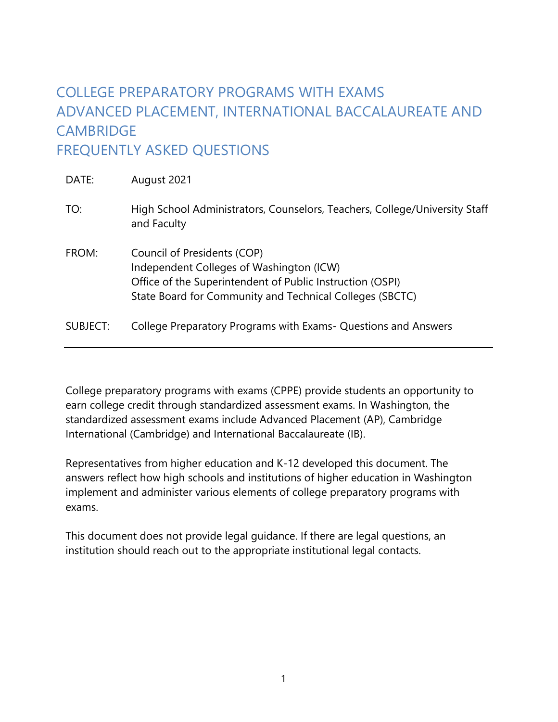## COLLEGE PREPARATORY PROGRAMS WITH EXAMS ADVANCED PLACEMENT, INTERNATIONAL BACCALAUREATE AND **CAMBRIDGE** FREQUENTLY ASKED QUESTIONS

| DATE:    | August 2021                                                                                                                                                                                      |
|----------|--------------------------------------------------------------------------------------------------------------------------------------------------------------------------------------------------|
| TO:      | High School Administrators, Counselors, Teachers, College/University Staff<br>and Faculty                                                                                                        |
| FROM:    | Council of Presidents (COP)<br>Independent Colleges of Washington (ICW)<br>Office of the Superintendent of Public Instruction (OSPI)<br>State Board for Community and Technical Colleges (SBCTC) |
| SUBJECT: | College Preparatory Programs with Exams- Questions and Answers                                                                                                                                   |

College preparatory programs with exams (CPPE) provide students an opportunity to earn college credit through standardized assessment exams. In Washington, the standardized assessment exams include Advanced Placement (AP), Cambridge International (Cambridge) and International Baccalaureate (IB).

Representatives from higher education and K-12 developed this document. The answers reflect how high schools and institutions of higher education in Washington implement and administer various elements of college preparatory programs with exams.

This document does not provide legal guidance. If there are legal questions, an institution should reach out to the appropriate institutional legal contacts.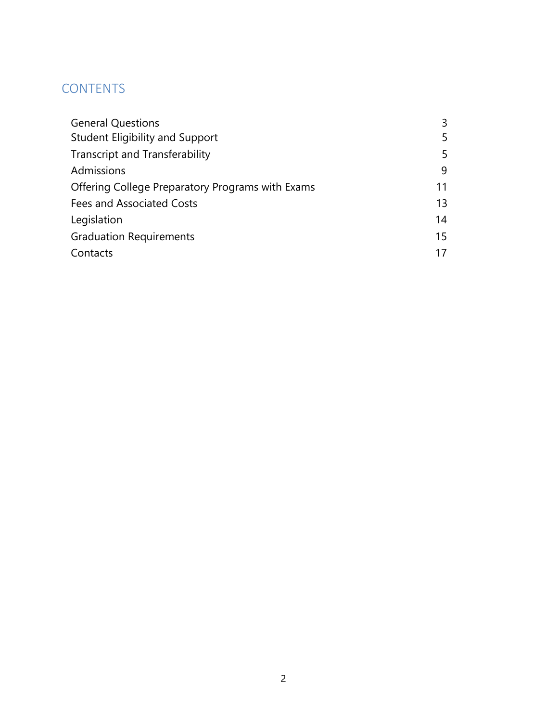## **CONTENTS**

| <b>General Questions</b>                         | 3  |
|--------------------------------------------------|----|
| <b>Student Eligibility and Support</b>           | 5  |
| <b>Transcript and Transferability</b>            | 5  |
| Admissions                                       | 9  |
| Offering College Preparatory Programs with Exams | 11 |
| Fees and Associated Costs                        | 13 |
| Legislation                                      | 14 |
| <b>Graduation Requirements</b>                   | 15 |
| Contacts                                         | 17 |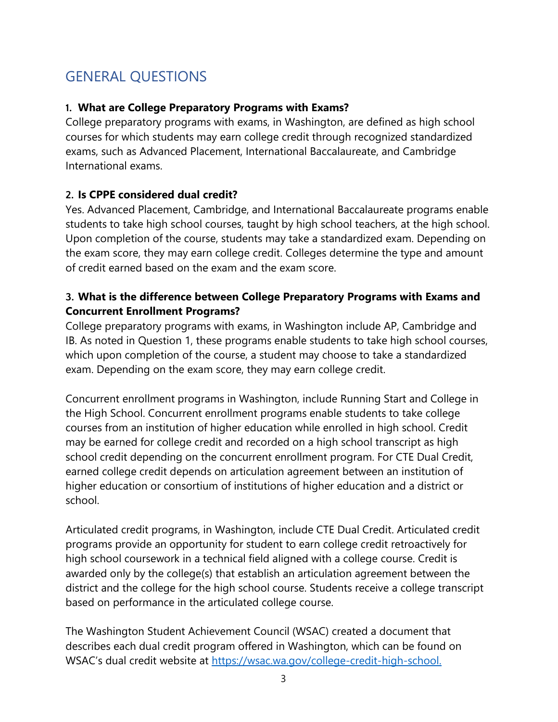# GENERAL QUESTIONS

### **1. What are College Preparatory Programs with Exams?**

College preparatory programs with exams, in Washington, are defined as high school courses for which students may earn college credit through recognized standardized exams, such as Advanced Placement, International Baccalaureate, and Cambridge International exams.

### **2. Is CPPE considered dual credit?**

Yes. Advanced Placement, Cambridge, and International Baccalaureate programs enable students to take high school courses, taught by high school teachers, at the high school. Upon completion of the course, students may take a standardized exam. Depending on the exam score, they may earn college credit. Colleges determine the type and amount of credit earned based on the exam and the exam score.

### **3. What is the difference between College Preparatory Programs with Exams and Concurrent Enrollment Programs?**

College preparatory programs with exams, in Washington include AP, Cambridge and IB. As noted in Question 1, these programs enable students to take high school courses, which upon completion of the course, a student may choose to take a standardized exam. Depending on the exam score, they may earn college credit.

Concurrent enrollment programs in Washington, include Running Start and College in the High School. Concurrent enrollment programs enable students to take college courses from an institution of higher education while enrolled in high school. Credit may be earned for college credit and recorded on a high school transcript as high school credit depending on the concurrent enrollment program. For CTE Dual Credit, earned college credit depends on articulation agreement between an institution of higher education or consortium of institutions of higher education and a district or school.

Articulated credit programs, in Washington, include CTE Dual Credit. Articulated credit programs provide an opportunity for student to earn college credit retroactively for high school coursework in a technical field aligned with a college course. Credit is awarded only by the college(s) that establish an articulation agreement between the district and the college for the high school course. Students receive a college transcript based on performance in the articulated college course.

The Washington Student Achievement Council (WSAC) created a document that describes each dual credit program offered in Washington, which can be found on WSAC's dual credit website at [https://wsac.wa.gov/college-credit-high-school.](https://wsac.wa.gov/college-credit-high-school)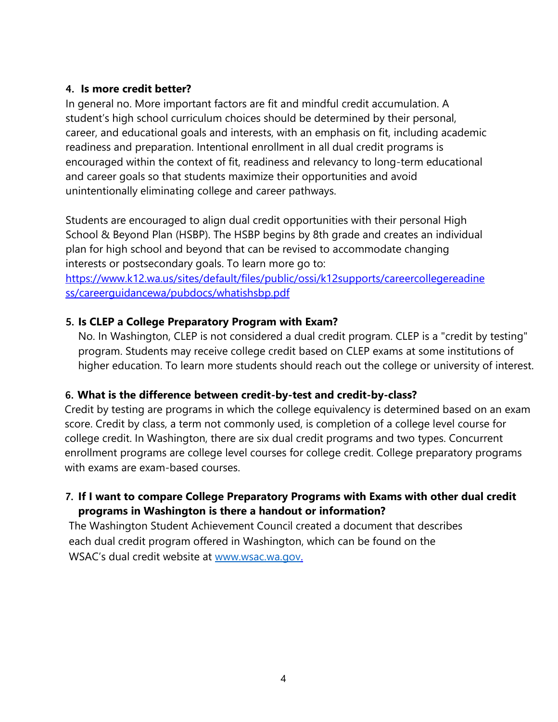#### **4. Is more credit better?**

In general no. More important factors are fit and mindful credit accumulation. A student's high school curriculum choices should be determined by their personal, career, and educational goals and interests, with an emphasis on fit, including academic readiness and preparation. Intentional enrollment in all dual credit programs is encouraged within the context of fit, readiness and relevancy to long-term educational and career goals so that students maximize their opportunities and avoid unintentionally eliminating college and career pathways.

Students are encouraged to align dual credit opportunities with their personal High School & Beyond Plan (HSBP). The HSBP begins by 8th grade and creates an individual plan for high school and beyond that can be revised to accommodate changing interests or postsecondary goals. To learn more go to:

[https://www.k12.wa.us/sites/default/files/public/ossi/k12supports/careercollegereadine](https://www.k12.wa.us/sites/default/files/public/ossi/k12supports/careercollegereadiness/careerguidancewa/pubdocs/whatishsbp.pdf) [ss/careerguidancewa/pubdocs/whatishsbp.pdf](https://www.k12.wa.us/sites/default/files/public/ossi/k12supports/careercollegereadiness/careerguidancewa/pubdocs/whatishsbp.pdf)

### **5. Is CLEP a College Preparatory Program with Exam?**

No. In Washington, CLEP is not considered a dual credit program. CLEP is a "credit by testing" program. Students may receive college credit based on CLEP exams at some institutions of higher education. To learn more students should reach out the college or university of interest.

### **6. What is the difference between credit-by-test and credit-by-class?**

Credit by testing are programs in which the college equivalency is determined based on an exam score. Credit by class, a term not commonly used, is completion of a college level course for college credit. In Washington, there are six dual credit programs and two types. Concurrent enrollment programs are college level courses for college credit. College preparatory programs with exams are exam-based courses.

### **7. If I want to compare College Preparatory Programs with Exams with other dual credit programs in Washington is there a handout or information?**

The Washington Student Achievement Council created a document that describes each dual credit program offered in Washington, which can be found on the WSAC's dual credit website at [www.wsac.wa.gov.](https://www.wsac.wa.gov/)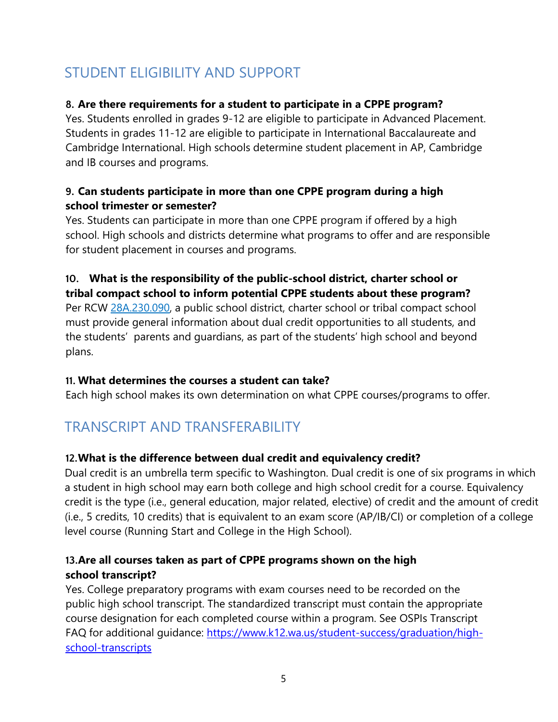# STUDENT ELIGIBILITY AND SUPPORT

#### **8. Are there requirements for a student to participate in a CPPE program?**

Yes. Students enrolled in grades 9-12 are eligible to participate in Advanced Placement. Students in grades 11-12 are eligible to participate in International Baccalaureate and Cambridge International. High schools determine student placement in AP, Cambridge and IB courses and programs.

#### **9. Can students participate in more than one CPPE program during a high school trimester or semester?**

Yes. Students can participate in more than one CPPE program if offered by a high school. High schools and districts determine what programs to offer and are responsible for student placement in courses and programs.

### **10. What is the responsibility of the public-school district, charter school or tribal compact school to inform potential CPPE students about these program?**

Per [RCW 28A.230.090, a](https://app.leg.wa.gov/RCW/default.aspx?cite=28a.230.090) public school district, charter school or tribal compact school must provide general information about dual credit opportunities to all students, and the students' parents and guardians, as part of the students' high school and beyond plans.

#### **11. What determines the courses a student can take?**

Each high school makes its own determination on what CPPE courses/programs to offer.

## TRANSCRIPT AND TRANSFERABILITY

### **12.What is the difference between dual credit and equivalency credit?**

Dual credit is an umbrella term specific to Washington. Dual credit is one of six programs in which a student in high school may earn both college and high school credit for a course. Equivalency credit is the type (i.e., general education, major related, elective) of credit and the amount of credit (i.e., 5 credits, 10 credits) that is equivalent to an exam score (AP/IB/CI) or completion of a college level course (Running Start and College in the High School).

### **13.Are all courses taken as part of CPPE programs shown on the high school transcript?**

Yes. College preparatory programs with exam courses need to be recorded on the public high school transcript. The standardized transcript must contain the appropriate course designation for each completed course within a program. See OSPIs Transcript FAQ for additional guidance: [https://www.k12.wa.us/student-success/graduation/high](https://www.k12.wa.us/student-success/graduation/high-school-transcripts)[school-transcripts](https://www.k12.wa.us/student-success/graduation/high-school-transcripts)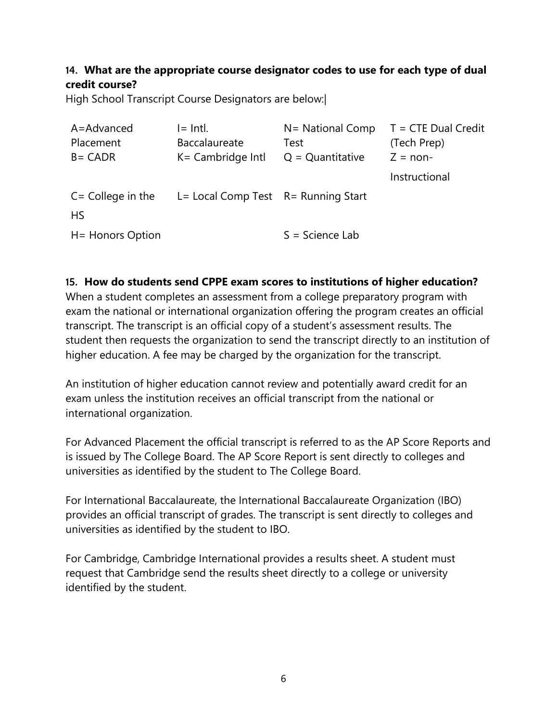### **14. What are the appropriate course designator codes to use for each type of dual credit course?**

High School Transcript Course Designators are below:|

| A=Advanced           | $l = Intl$ .                        | N= National Comp   | T = CTE Dual Credit |
|----------------------|-------------------------------------|--------------------|---------------------|
| Placement            | <b>Baccalaureate</b>                | Test               | (Tech Prep)         |
| $B = CADR$           | $K =$ Cambridge Intl                | $Q =$ Quantitative | $Z = non-$          |
|                      |                                     |                    | Instructional       |
| $C =$ College in the | L= Local Comp Test R= Running Start |                    |                     |
| <b>HS</b>            |                                     |                    |                     |
| H = Honors Option    |                                     | $S =$ Science Lab  |                     |

#### **15. How do students send CPPE exam scores to institutions of higher education?**

When a student completes an assessment from a college preparatory program with exam the national or international organization offering the program creates an official transcript. The transcript is an official copy of a student's assessment results. The student then requests the organization to send the transcript directly to an institution of higher education. A fee may be charged by the organization for the transcript.

An institution of higher education cannot review and potentially award credit for an exam unless the institution receives an official transcript from the national or international organization.

For Advanced Placement the official transcript is referred to as the AP Score Reports and is issued by The College Board. The AP Score Report is sent directly to colleges and universities as identified by the student to The College Board.

For International Baccalaureate, the International Baccalaureate Organization (IBO) provides an official transcript of grades. The transcript is sent directly to colleges and universities as identified by the student to IBO.

For Cambridge, Cambridge International provides a results sheet. A student must request that Cambridge send the results sheet directly to a college or university identified by the student.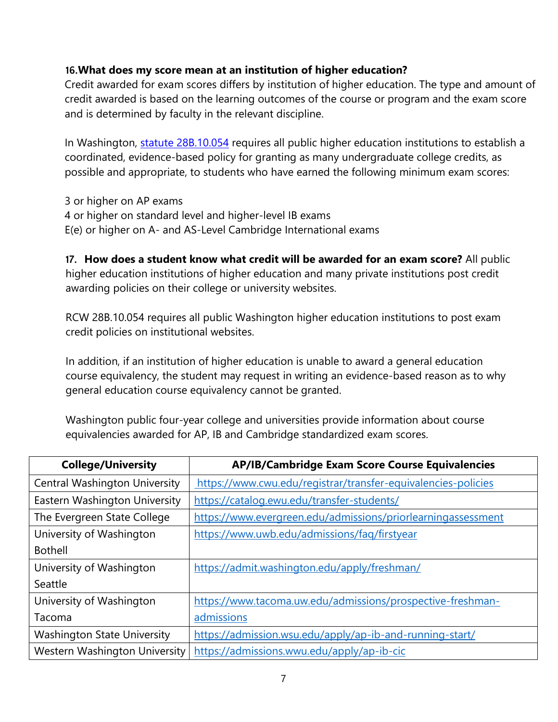#### **16.What does my score mean at an institution of higher education?**

Credit awarded for exam scores differs by institution of higher education. The type and amount of credit awarded is based on the learning outcomes of the course or program and the exam score and is determined by faculty in the relevant discipline.

In Washington, [statute 28B.10.054](https://app.leg.wa.gov/rcw/default.aspx?cite=28B.10.054) requires all public higher education institutions to establish a coordinated, evidence-based policy for granting as many undergraduate college credits, as possible and appropriate, to students who have earned the following minimum exam scores:

3 or higher on AP exams 4 or higher on standard level and higher-level IB exams E(e) or higher on A- and AS-Level Cambridge International exams

**17. How does a student know what credit will be awarded for an exam score?** All public higher education institutions of higher education and many private institutions post credit awarding policies on their college or university websites.

RCW 28B.10.054 requires all public Washington higher education institutions to post exam credit policies on institutional websites.

In addition, if an institution of higher education is unable to award a general education course equivalency, the student may request in writing an evidence-based reason as to why general education course equivalency cannot be granted.

Washington public four-year college and universities provide information about course equivalencies awarded for AP, IB and Cambridge standardized exam scores.

| <b>College/University</b>            | AP/IB/Cambridge Exam Score Course Equivalencies               |
|--------------------------------------|---------------------------------------------------------------|
| <b>Central Washington University</b> | https://www.cwu.edu/registrar/transfer-equivalencies-policies |
| Eastern Washington University        | https://catalog.ewu.edu/transfer-students/                    |
| The Evergreen State College          | https://www.evergreen.edu/admissions/priorlearningassessment  |
| University of Washington             | https://www.uwb.edu/admissions/faq/firstyear                  |
| <b>Bothell</b>                       |                                                               |
| University of Washington             | https://admit.washington.edu/apply/freshman/                  |
| Seattle                              |                                                               |
| University of Washington             | https://www.tacoma.uw.edu/admissions/prospective-freshman-    |
| Tacoma                               | admissions                                                    |
| <b>Washington State University</b>   | https://admission.wsu.edu/apply/ap-ib-and-running-start/      |
| Western Washington University        | https://admissions.wwu.edu/apply/ap-ib-cic                    |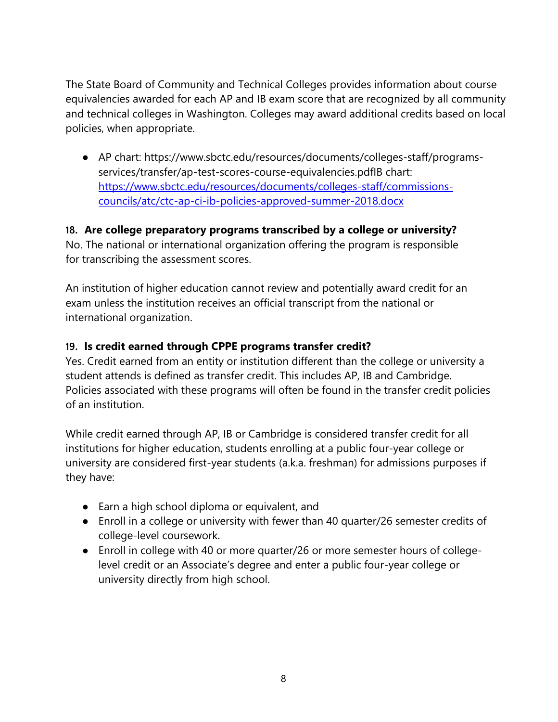The State Board of Community and Technical Colleges provides information about course equivalencies awarded for each AP and IB exam score that are recognized by all community and technical colleges in Washington. Colleges may award additional credits based on local policies, when appropriate.

● AP chart: https://www.sbctc.edu/resources/documents/colleges-staff/programsservices/transfer/ap-test-scores-course-equivalencies.pdfIB chart: [https://www.sbctc.edu/resources/documents/colleges-staff/commissions](https://www.sbctc.edu/resources/documents/colleges-staff/commissions-councils/atc/ctc-ap-ci-ib-policies-approved-summer-2018.docx)[councils/atc/ctc-ap-ci-ib-policies-approved-summer-2018.docx](https://www.sbctc.edu/resources/documents/colleges-staff/commissions-councils/atc/ctc-ap-ci-ib-policies-approved-summer-2018.docx)

**18. Are college preparatory programs transcribed by a college or university?**  No. The national or international organization offering the program is responsible for transcribing the assessment scores.

An institution of higher education cannot review and potentially award credit for an exam unless the institution receives an official transcript from the national or international organization.

### **19. Is credit earned through CPPE programs transfer credit?**

Yes. Credit earned from an entity or institution different than the college or university a student attends is defined as transfer credit. This includes AP, IB and Cambridge. Policies associated with these programs will often be found in the transfer credit policies of an institution.

While credit earned through AP, IB or Cambridge is considered transfer credit for all institutions for higher education, students enrolling at a public four-year college or university are considered first-year students (a.k.a. freshman) for admissions purposes if they have:

- Earn a high school diploma or equivalent, and
- Enroll in a college or university with fewer than 40 quarter/26 semester credits of college-level coursework.
- Enroll in college with 40 or more quarter/26 or more semester hours of collegelevel credit or an Associate's degree and enter a public four-year college or university directly from high school.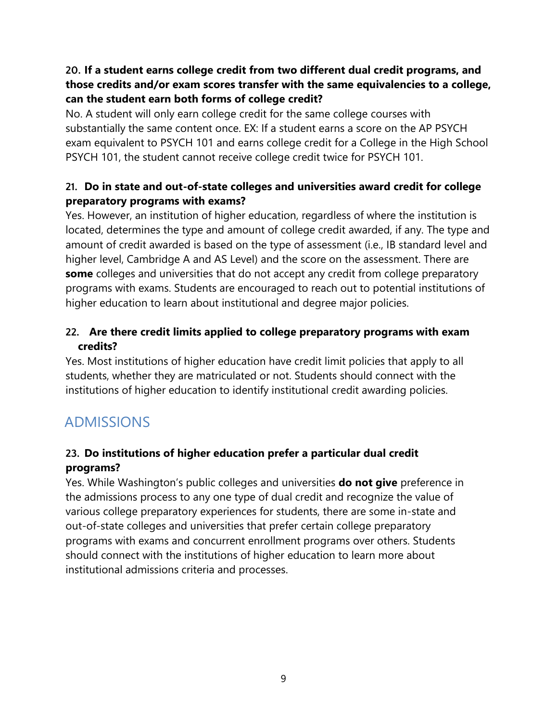### **20. If a student earns college credit from two different dual credit programs, and those credits and/or exam scores transfer with the same equivalencies to a college, can the student earn both forms of college credit?**

No. A student will only earn college credit for the same college courses with substantially the same content once. EX: If a student earns a score on the AP PSYCH exam equivalent to PSYCH 101 and earns college credit for a College in the High School PSYCH 101, the student cannot receive college credit twice for PSYCH 101.

### **21. Do in state and out-of-state colleges and universities award credit for college preparatory programs with exams?**

Yes. However, an institution of higher education, regardless of where the institution is located, determines the type and amount of college credit awarded, if any. The type and amount of credit awarded is based on the type of assessment (i.e., IB standard level and higher level, Cambridge A and AS Level) and the score on the assessment. There are **some** colleges and universities that do not accept any credit from college preparatory programs with exams. Students are encouraged to reach out to potential institutions of higher education to learn about institutional and degree major policies.

### **22. Are there credit limits applied to college preparatory programs with exam credits?**

Yes. Most institutions of higher education have credit limit policies that apply to all students, whether they are matriculated or not. Students should connect with the institutions of higher education to identify institutional credit awarding policies.

## ADMISSIONS

### **23. Do institutions of higher education prefer a particular dual credit programs?**

Yes. While Washington's public colleges and universities **do not give** preference in the admissions process to any one type of dual credit and recognize the value of various college preparatory experiences for students, there are some in-state and out-of-state colleges and universities that prefer certain college preparatory programs with exams and concurrent enrollment programs over others. Students should connect with the institutions of higher education to learn more about institutional admissions criteria and processes.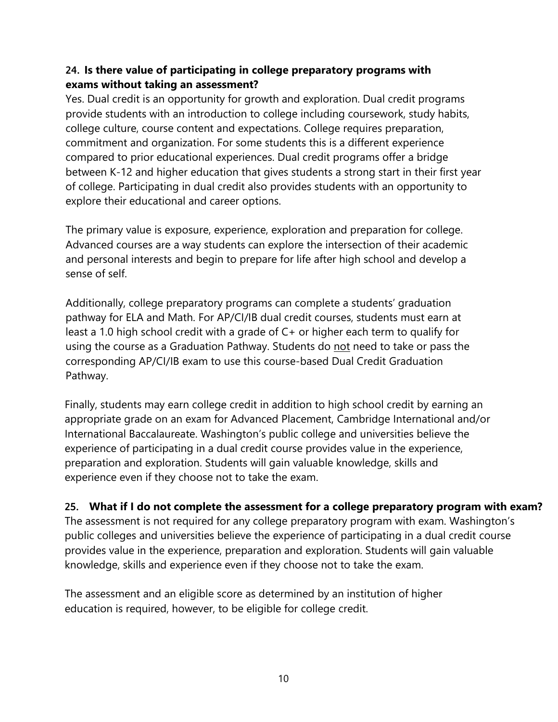### **24. Is there value of participating in college preparatory programs with exams without taking an assessment?**

Yes. Dual credit is an opportunity for growth and exploration. Dual credit programs provide students with an introduction to college including coursework, study habits, college culture, course content and expectations. College requires preparation, commitment and organization. For some students this is a different experience compared to prior educational experiences. Dual credit programs offer a bridge between K-12 and higher education that gives students a strong start in their first year of college. Participating in dual credit also provides students with an opportunity to explore their educational and career options.

The primary value is exposure, experience, exploration and preparation for college. Advanced courses are a way students can explore the intersection of their academic and personal interests and begin to prepare for life after high school and develop a sense of self.

Additionally, college preparatory programs can complete a students' graduation pathway for ELA and Math. For AP/CI/IB dual credit courses, students must earn at least a 1.0 high school credit with a grade of C+ or higher each term to qualify for using the course as a Graduation Pathway. Students do not need to take or pass the corresponding AP/CI/IB exam to use this course-based Dual Credit Graduation Pathway.

Finally, students may earn college credit in addition to high school credit by earning an appropriate grade on an exam for Advanced Placement, Cambridge International and/or International Baccalaureate. Washington's public college and universities believe the experience of participating in a dual credit course provides value in the experience, preparation and exploration. Students will gain valuable knowledge, skills and experience even if they choose not to take the exam.

#### **25. What if I do not complete the assessment for a college preparatory program with exam?**

The assessment is not required for any college preparatory program with exam. Washington's public colleges and universities believe the experience of participating in a dual credit course provides value in the experience, preparation and exploration. Students will gain valuable knowledge, skills and experience even if they choose not to take the exam.

The assessment and an eligible score as determined by an institution of higher education is required, however, to be eligible for college credit.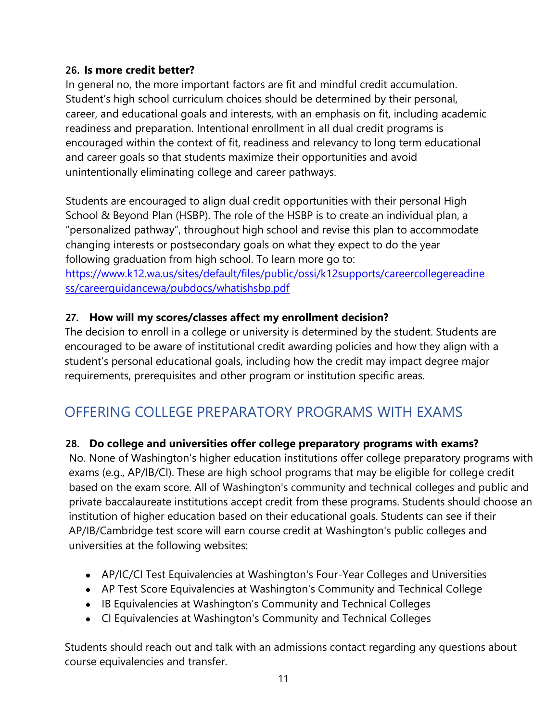#### **26. Is more credit better?**

In general no, the more important factors are fit and mindful credit accumulation. Student's high school curriculum choices should be determined by their personal, career, and educational goals and interests, with an emphasis on fit, including academic readiness and preparation. Intentional enrollment in all dual credit programs is encouraged within the context of fit, readiness and relevancy to long term educational and career goals so that students maximize their opportunities and avoid unintentionally eliminating college and career pathways.

Students are encouraged to align dual credit opportunities with their personal High School & Beyond Plan (HSBP). The role of the HSBP is to create an individual plan, a "personalized pathway", throughout high school and revise this plan to accommodate changing interests or postsecondary goals on what they expect to do the year following graduation from high school. To learn more go to: [https://www.k12.wa.us/sites/default/files/public/ossi/k12supports/careercollegereadine](https://www.k12.wa.us/sites/default/files/public/ossi/k12supports/careercollegereadiness/careerguidancewa/pubdocs/whatishsbp.pdf) [ss/careerguidancewa/pubdocs/whatishsbp.pdf](https://www.k12.wa.us/sites/default/files/public/ossi/k12supports/careercollegereadiness/careerguidancewa/pubdocs/whatishsbp.pdf)

### **27. How will my scores/classes affect my enrollment decision?**

The decision to enroll in a college or university is determined by the student. Students are encouraged to be aware of institutional credit awarding policies and how they align with a student's personal educational goals, including how the credit may impact degree major requirements, prerequisites and other program or institution specific areas.

## OFFERING COLLEGE PREPARATORY PROGRAMS WITH EXAMS

### **28. Do college and universities offer college preparatory programs with exams?**

No. None of Washington's higher education institutions offer college preparatory programs with exams (e.g., AP/IB/CI). These are high school programs that may be eligible for college credit based on the exam score. All of Washington's community and technical colleges and public and private baccalaureate institutions accept credit from these programs. Students should choose an institution of higher education based on their educational goals. Students can see if their AP/IB/Cambridge test score will earn course credit at Washington's public colleges and universities at the following websites:

- AP/IC/CI Test Equivalencies at Washington's Four-Year Colleges and Universities
- AP Test Score Equivalencies at Washington's Community and Technical College
- IB Equivalencies at Washington's Community and Technical Colleges
- CI Equivalencies at Washington's Community and Technical Colleges

Students should reach out and talk with an admissions contact regarding any questions about course equivalencies and transfer.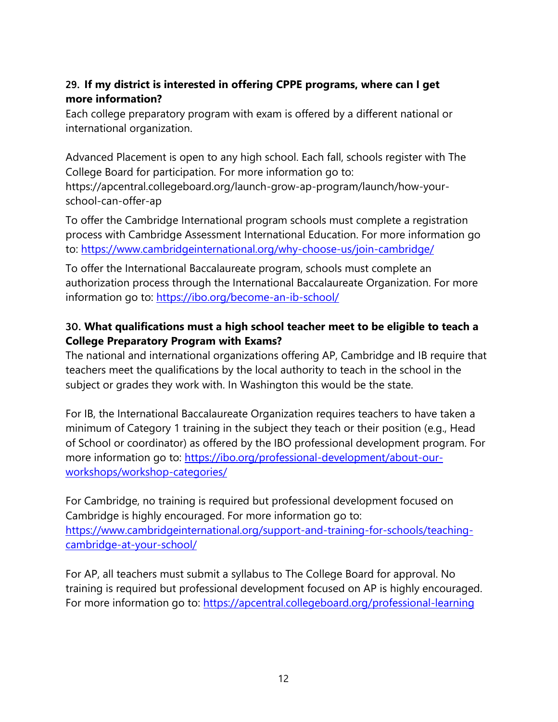### **29. If my district is interested in offering CPPE programs, where can I get more information?**

Each college preparatory program with exam is offered by a different national or international organization.

Advanced Placement is open to any high school. Each fall, schools register with The College Board for participation. For more information go to: https://apcentral.collegeboard.org/launch-grow-ap-program/launch/how-yourschool-can-offer-ap

To offer the Cambridge International program schools must complete a registration process with Cambridge Assessment International Education. For more information go to:<https://www.cambridgeinternational.org/why-choose-us/join-cambridge/>

To offer the International Baccalaureate program, schools must complete an authorization process through the International Baccalaureate Organization. For more information go to:<https://ibo.org/become-an-ib-school/>

### **30. What qualifications must a high school teacher meet to be eligible to teach a College Preparatory Program with Exams?**

The national and international organizations offering AP, Cambridge and IB require that teachers meet the qualifications by the local authority to teach in the school in the subject or grades they work with. In Washington this would be the state.

For IB, the International Baccalaureate Organization requires teachers to have taken a minimum of Category 1 training in the subject they teach or their position (e.g., Head of School or coordinator) as offered by the IBO professional development program. For more information go to: [https://ibo.org/professional-development/about-our](https://ibo.org/professional-development/about-our-workshops/workshop-categories/)[workshops/workshop-categories/](https://ibo.org/professional-development/about-our-workshops/workshop-categories/)

For Cambridge, no training is required but professional development focused on Cambridge is highly encouraged. For more information go to: [https://www.cambridgeinternational.org/support-and-training-for-schools/teaching](https://www.cambridgeinternational.org/support-and-training-for-schools/teaching-cambridge-at-your-school/)[cambridge-at-your-school/](https://www.cambridgeinternational.org/support-and-training-for-schools/teaching-cambridge-at-your-school/)

For AP, all teachers must submit a syllabus to The College Board for approval. No training is required but professional development focused on AP is highly encouraged. For more information go to:<https://apcentral.collegeboard.org/professional-learning>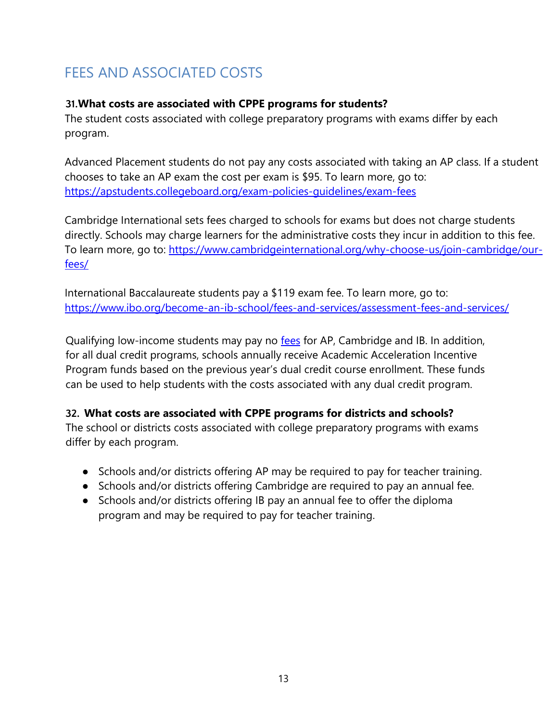# FEES AND ASSOCIATED COSTS

#### **31.What costs are associated with CPPE programs for students?**

The student costs associated with college preparatory programs with exams differ by each program.

Advanced Placement students do not pay any costs associated with taking an AP class. If a student chooses to take an AP exam the cost per exam is \$95. To learn more, go to: <https://apstudents.collegeboard.org/exam-policies-guidelines/exam-fees>

Cambridge International sets fees charged to schools for exams but does not charge students directly. Schools may charge learners for the administrative costs they incur in addition to this fee. To learn more, go to: [https://www.cambridgeinternational.org/why-choose-us/join-cambridge/our](https://www.cambridgeinternational.org/why-choose-us/join-cambridge/our-fees/)[fees/](https://www.cambridgeinternational.org/why-choose-us/join-cambridge/our-fees/)

International Baccalaureate students pay a \$119 exam fee. To learn more, go to: <https://www.ibo.org/become-an-ib-school/fees-and-services/assessment-fees-and-services/>

Qualifying low-income students may pay no [fees](https://www.k12.wa.us/student-success/support-programs/dual-credit-programs/exam-based-dual-credit) for AP, Cambridge and IB. In addition, for all dual credit programs, schools annually receive Academic Acceleration Incentive Program funds based on the previous year's dual credit course enrollment. These funds can be used to help students with the costs associated with any dual credit program.

### **32. What costs are associated with CPPE programs for districts and schools?**

The school or districts costs associated with college preparatory programs with exams differ by each program.

- Schools and/or districts offering AP may be required to pay for teacher training.
- Schools and/or districts offering Cambridge are required to pay an annual fee.
- Schools and/or districts offering IB pay an annual fee to offer the diploma program and may be required to pay for teacher training.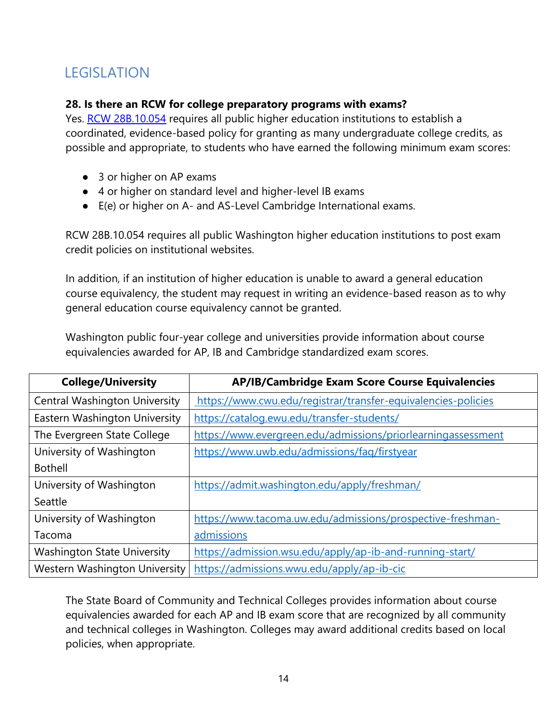## LEGISLATION

### **28. Is there an RCW for college preparatory programs with exams?**

Yes. [RCW 28B.10.054](https://app.leg.wa.gov/rcw/default.aspx?cite=28B.10.054) requires all public higher education institutions to establish a coordinated, evidence-based policy for granting as many undergraduate college credits, as possible and appropriate, to students who have earned the following minimum exam scores:

- 3 or higher on AP exams
- 4 or higher on standard level and higher-level IB exams
- E(e) or higher on A- and AS-Level Cambridge International exams.

RCW 28B.10.054 requires all public Washington higher education institutions to post exam credit policies on institutional websites.

In addition, if an institution of higher education is unable to award a general education course equivalency, the student may request in writing an evidence-based reason as to why general education course equivalency cannot be granted.

Washington public four-year college and universities provide information about course equivalencies awarded for AP, IB and Cambridge standardized exam scores.

| <b>College/University</b>            | AP/IB/Cambridge Exam Score Course Equivalencies               |
|--------------------------------------|---------------------------------------------------------------|
| <b>Central Washington University</b> | https://www.cwu.edu/registrar/transfer-equivalencies-policies |
| Eastern Washington University        | https://catalog.ewu.edu/transfer-students/                    |
| The Evergreen State College          | https://www.evergreen.edu/admissions/priorlearningassessment  |
| University of Washington             | https://www.uwb.edu/admissions/faq/firstyear                  |
| <b>Bothell</b>                       |                                                               |
| University of Washington             | https://admit.washington.edu/apply/freshman/                  |
| Seattle                              |                                                               |
| University of Washington             | https://www.tacoma.uw.edu/admissions/prospective-freshman-    |
| Tacoma                               | admissions                                                    |
| <b>Washington State University</b>   | https://admission.wsu.edu/apply/ap-ib-and-running-start/      |
| Western Washington University        | https://admissions.wwu.edu/apply/ap-ib-cic                    |

The State Board of Community and Technical Colleges provides information about course equivalencies awarded for each AP and IB exam score that are recognized by all community and technical colleges in Washington. Colleges may award additional credits based on local policies, when appropriate.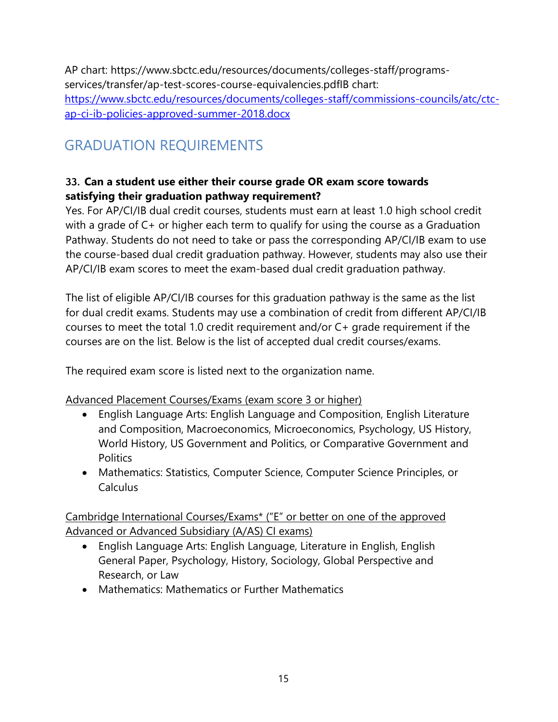AP chart: https://www.sbctc.edu/resources/documents/colleges-staff/programsservices/transfer/ap-test-scores-course-equivalencies.pdfIB chart: [https://www.sbctc.edu/resources/documents/colleges-staff/commissions-councils/atc/ctc](https://www.sbctc.edu/resources/documents/colleges-staff/commissions-councils/atc/ctc-ap-ci-ib-policies-approved-summer-2018.docx)[ap-ci-ib-policies-approved-summer-2018.docx](https://www.sbctc.edu/resources/documents/colleges-staff/commissions-councils/atc/ctc-ap-ci-ib-policies-approved-summer-2018.docx)

# GRADUATION REQUIREMENTS

#### **33. Can a student use either their course grade OR exam score towards satisfying their graduation pathway requirement?**

Yes. For AP/CI/IB dual credit courses, students must earn at least 1.0 high school credit with a grade of C+ or higher each term to qualify for using the course as a Graduation Pathway. Students do not need to take or pass the corresponding AP/CI/IB exam to use the course-based dual credit graduation pathway. However, students may also use their AP/CI/IB exam scores to meet the exam-based dual credit graduation pathway.

The list of eligible AP/CI/IB courses for this graduation pathway is the same as the list for dual credit exams. Students may use a combination of credit from different AP/CI/IB courses to meet the total 1.0 credit requirement and/or C+ grade requirement if the courses are on the list. Below is the list of accepted dual credit courses/exams.

The required exam score is listed next to the organization name.

#### Advanced Placement Courses/Exams (exam score 3 or higher)

- English Language Arts: English Language and Composition, English Literature and Composition, Macroeconomics, Microeconomics, Psychology, US History, World History, US Government and Politics, or Comparative Government and **Politics**
- Mathematics: Statistics, Computer Science, Computer Science Principles, or Calculus

Cambridge International Courses/Exams\* ("E" or better on one of the approved Advanced or Advanced Subsidiary (A/AS) CI exams)

- English Language Arts: English Language, Literature in English, English General Paper, Psychology, History, Sociology, Global Perspective and Research, or Law
- Mathematics: Mathematics or Further Mathematics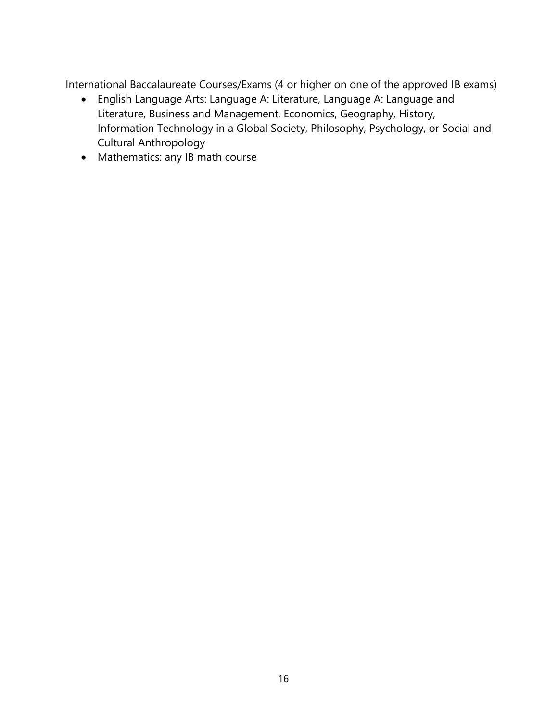International Baccalaureate Courses/Exams (4 or higher on one of the approved IB exams)

- English Language Arts: Language A: Literature, Language A: Language and Literature, Business and Management, Economics, Geography, History, Information Technology in a Global Society, Philosophy, Psychology, or Social and Cultural Anthropology
- Mathematics: any IB math course